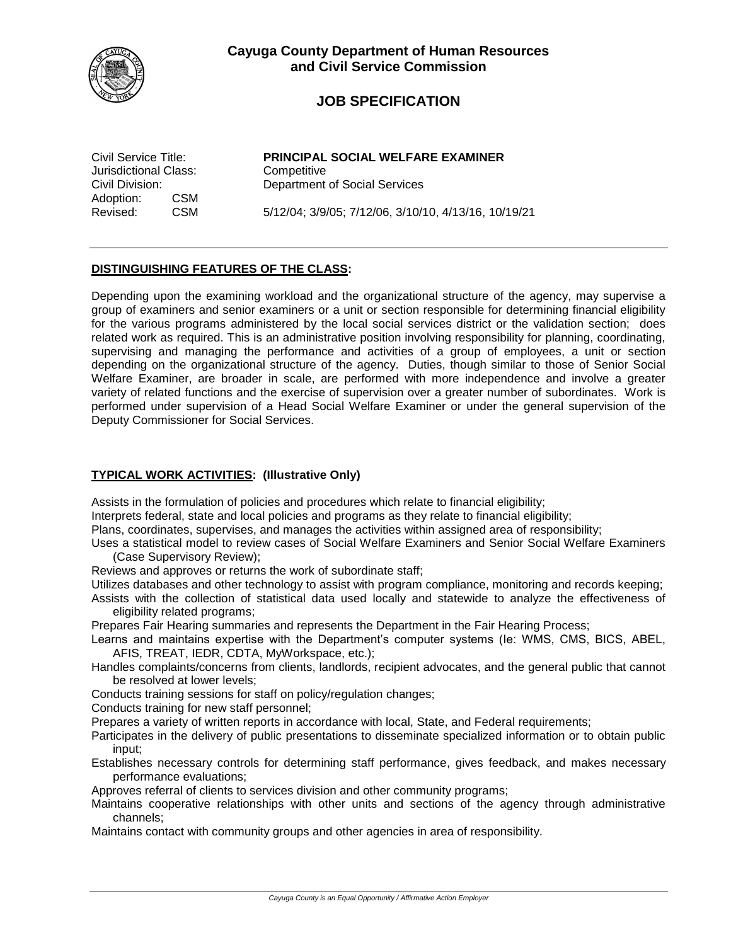

# **JOB SPECIFICATION**

Jurisdictional Class: Competitive Adoption: CSM

Civil Service Title: **PRINCIPAL SOCIAL WELFARE EXAMINER** Civil Division: Department of Social Services

Revised: CSM 5/12/04; 3/9/05; 7/12/06, 3/10/10, 4/13/16, 10/19/21

## **DISTINGUISHING FEATURES OF THE CLASS:**

Depending upon the examining workload and the organizational structure of the agency, may supervise a group of examiners and senior examiners or a unit or section responsible for determining financial eligibility for the various programs administered by the local social services district or the validation section; does related work as required. This is an administrative position involving responsibility for planning, coordinating, supervising and managing the performance and activities of a group of employees, a unit or section depending on the organizational structure of the agency. Duties, though similar to those of Senior Social Welfare Examiner, are broader in scale, are performed with more independence and involve a greater variety of related functions and the exercise of supervision over a greater number of subordinates. Work is performed under supervision of a Head Social Welfare Examiner or under the general supervision of the Deputy Commissioner for Social Services.

## **TYPICAL WORK ACTIVITIES: (Illustrative Only)**

Assists in the formulation of policies and procedures which relate to financial eligibility;

Interprets federal, state and local policies and programs as they relate to financial eligibility;

Plans, coordinates, supervises, and manages the activities within assigned area of responsibility;

Uses a statistical model to review cases of Social Welfare Examiners and Senior Social Welfare Examiners (Case Supervisory Review);

Reviews and approves or returns the work of subordinate staff;

Utilizes databases and other technology to assist with program compliance, monitoring and records keeping;

Assists with the collection of statistical data used locally and statewide to analyze the effectiveness of eligibility related programs;

Prepares Fair Hearing summaries and represents the Department in the Fair Hearing Process;

- Learns and maintains expertise with the Department's computer systems (Ie: WMS, CMS, BICS, ABEL, AFIS, TREAT, IEDR, CDTA, MyWorkspace, etc.);
- Handles complaints/concerns from clients, landlords, recipient advocates, and the general public that cannot be resolved at lower levels;
- Conducts training sessions for staff on policy/regulation changes;

Conducts training for new staff personnel;

Prepares a variety of written reports in accordance with local, State, and Federal requirements;

- Participates in the delivery of public presentations to disseminate specialized information or to obtain public input;
- Establishes necessary controls for determining staff performance, gives feedback, and makes necessary performance evaluations;

Approves referral of clients to services division and other community programs;

Maintains cooperative relationships with other units and sections of the agency through administrative channels;

Maintains contact with community groups and other agencies in area of responsibility.